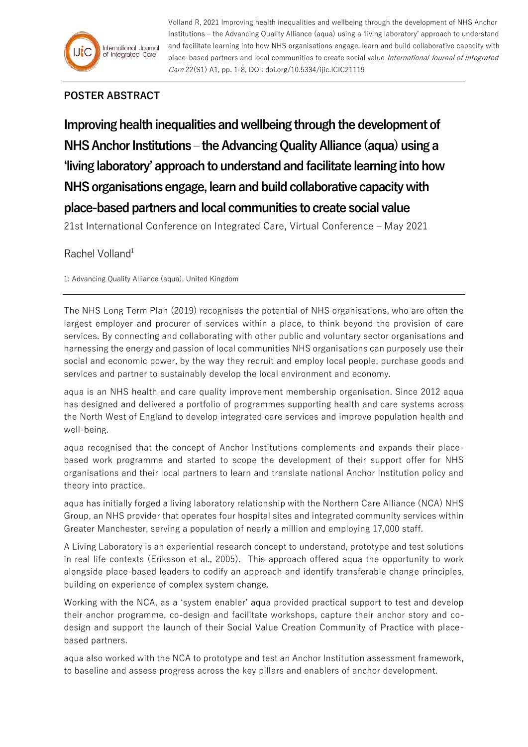

Volland R, 2021 Improving health inequalities and wellbeing through the development of NHS Anchor Institutions – the Advancing Quality Alliance (aqua) using a 'living laboratory' approach to understand and facilitate learning into how NHS organisations engage, learn and build collaborative capacity with place-based partners and local communities to create social value International Journal of Integrated Care 22(S1) A1, pp. 1-8, DOI: doi.org/10.5334/ijic.ICIC21119

## **POSTER ABSTRACT**

**Improving health inequalities and wellbeing through the development of NHS Anchor Institutions – the Advancing Quality Alliance (aqua) using a 'living laboratory' approach to understand and facilitate learning into how NHS organisations engage, learn and build collaborative capacity with place-based partners and local communities to create social value** 

21st International Conference on Integrated Care, Virtual Conference – May 2021

Rachel Volland<sup>1</sup>

1: Advancing Quality Alliance (aqua), United Kingdom

The NHS Long Term Plan (2019) recognises the potential of NHS organisations, who are often the largest employer and procurer of services within a place, to think beyond the provision of care services. By connecting and collaborating with other public and voluntary sector organisations and harnessing the energy and passion of local communities NHS organisations can purposely use their social and economic power, by the way they recruit and employ local people, purchase goods and services and partner to sustainably develop the local environment and economy.

aqua is an NHS health and care quality improvement membership organisation. Since 2012 aqua has designed and delivered a portfolio of programmes supporting health and care systems across the North West of England to develop integrated care services and improve population health and well-being.

aqua recognised that the concept of Anchor Institutions complements and expands their placebased work programme and started to scope the development of their support offer for NHS organisations and their local partners to learn and translate national Anchor Institution policy and theory into practice.

aqua has initially forged a living laboratory relationship with the Northern Care Alliance (NCA) NHS Group, an NHS provider that operates four hospital sites and integrated community services within Greater Manchester, serving a population of nearly a million and employing 17,000 staff.

A Living Laboratory is an experiential research concept to understand, prototype and test solutions in real life contexts (Eriksson et al., 2005). This approach offered aqua the opportunity to work alongside place-based leaders to codify an approach and identify transferable change principles, building on experience of complex system change.

Working with the NCA, as a 'system enabler' aqua provided practical support to test and develop their anchor programme, co-design and facilitate workshops, capture their anchor story and codesign and support the launch of their Social Value Creation Community of Practice with placebased partners.

aqua also worked with the NCA to prototype and test an Anchor Institution assessment framework, to baseline and assess progress across the key pillars and enablers of anchor development.